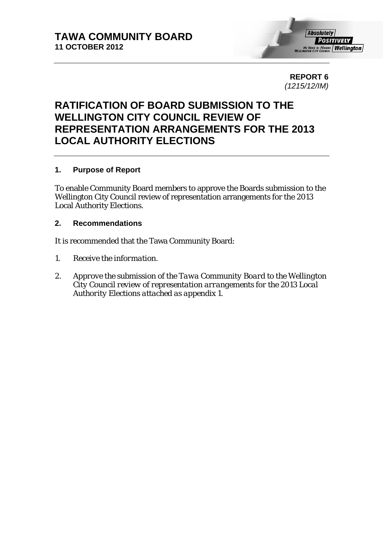

**REPORT 6**  *(1215/12/IM)* 

## **RATIFICATION OF BOARD SUBMISSION TO THE WELLINGTON CITY COUNCIL REVIEW OF REPRESENTATION ARRANGEMENTS FOR THE 2013 LOCAL AUTHORITY ELECTIONS**

### **1. Purpose of Report**

To enable Community Board members to approve the Boards submission to the Wellington City Council review of representation arrangements for the 2013 Local Authority Elections.

### **2. Recommendations**

It is recommended that the Tawa Community Board:

- *1. Receive the information.*
- *2. Approve the submission of the Tawa Community Board to the Wellington City Council review of representation arrangements for the 2013 Local Authority Elections attached as appendix 1.*